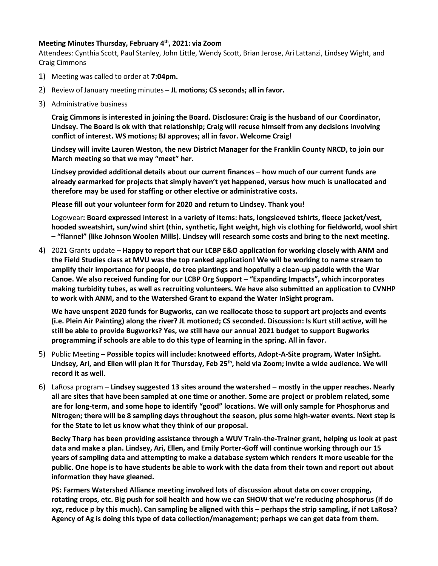## **Meeting Minutes Thursday, February 4th, 2021: via Zoom**

Attendees: Cynthia Scott, Paul Stanley, John Little, Wendy Scott, Brian Jerose, Ari Lattanzi, Lindsey Wight, and Craig Cimmons

- 1) Meeting was called to order at **7:04pm.**
- 2) Review of January meeting minutes **– JL motions; CS seconds; all in favor.**
- 3) Administrative business

**Craig Cimmons is interested in joining the Board. Disclosure: Craig is the husband of our Coordinator, Lindsey. The Board is ok with that relationship; Craig will recuse himself from any decisions involving conflict of interest. WS motions; BJ approves; all in favor. Welcome Craig!**

**Lindsey will invite Lauren Weston, the new District Manager for the Franklin County NRCD, to join our March meeting so that we may "meet" her.** 

**Lindsey provided additional details about our current finances – how much of our current funds are already earmarked for projects that simply haven't yet happened, versus how much is unallocated and therefore may be used for staffing or other elective or administrative costs.**

**Please fill out your volunteer form for 2020 and return to Lindsey. Thank you!**

Logowear**: Board expressed interest in a variety of items: hats, longsleeved tshirts, fleece jacket/vest, hooded sweatshirt, sun/wind shirt (thin, synthetic, light weight, high vis clothing for fieldworld, wool shirt – "flannel" (like Johnson Woolen Mills). Lindsey will research some costs and bring to the next meeting.**

4) 2021 Grants update – **Happy to report that our LCBP E&O application for working closely with ANM and the Field Studies class at MVU was the top ranked application! We will be working to name stream to amplify their importance for people, do tree plantings and hopefully a clean-up paddle with the War Canoe. We also received funding for our LCBP Org Support – "Expanding Impacts", which incorporates making turbidity tubes, as well as recruiting volunteers. We have also submitted an application to CVNHP to work with ANM, and to the Watershed Grant to expand the Water InSight program.**

**We have unspent 2020 funds for Bugworks, can we reallocate those to support art projects and events (i.e. Plein Air Painting) along the river? JL motioned; CS seconded. Discussion: Is Kurt still active, will he still be able to provide Bugworks? Yes, we still have our annual 2021 budget to support Bugworks programming if schools are able to do this type of learning in the spring. All in favor.**

- 5) Public Meeting **– Possible topics will include: knotweed efforts, Adopt-A-Site program, Water InSight. Lindsey, Ari, and Ellen will plan it for Thursday, Feb 25th, held via Zoom; invite a wide audience. We will record it as well.**
- 6) LaRosa program **Lindsey suggested 13 sites around the watershed – mostly in the upper reaches. Nearly all are sites that have been sampled at one time or another. Some are project or problem related, some are for long-term, and some hope to identify "good" locations. We will only sample for Phosphorus and Nitrogen; there will be 8 sampling days throughout the season, plus some high-water events. Next step is for the State to let us know what they think of our proposal.**

**Becky Tharp has been providing assistance through a WUV Train-the-Trainer grant, helping us look at past data and make a plan. Lindsey, Ari, Ellen, and Emily Porter-Goff will continue working through our 15 years of sampling data and attempting to make a database system which renders it more useable for the public. One hope is to have students be able to work with the data from their town and report out about information they have gleaned.**

**PS: Farmers Watershed Alliance meeting involved lots of discussion about data on cover cropping, rotating crops, etc. Big push for soil health and how we can SHOW that we're reducing phosphorus (if do xyz, reduce p by this much). Can sampling be aligned with this – perhaps the strip sampling, if not LaRosa? Agency of Ag is doing this type of data collection/management; perhaps we can get data from them.**